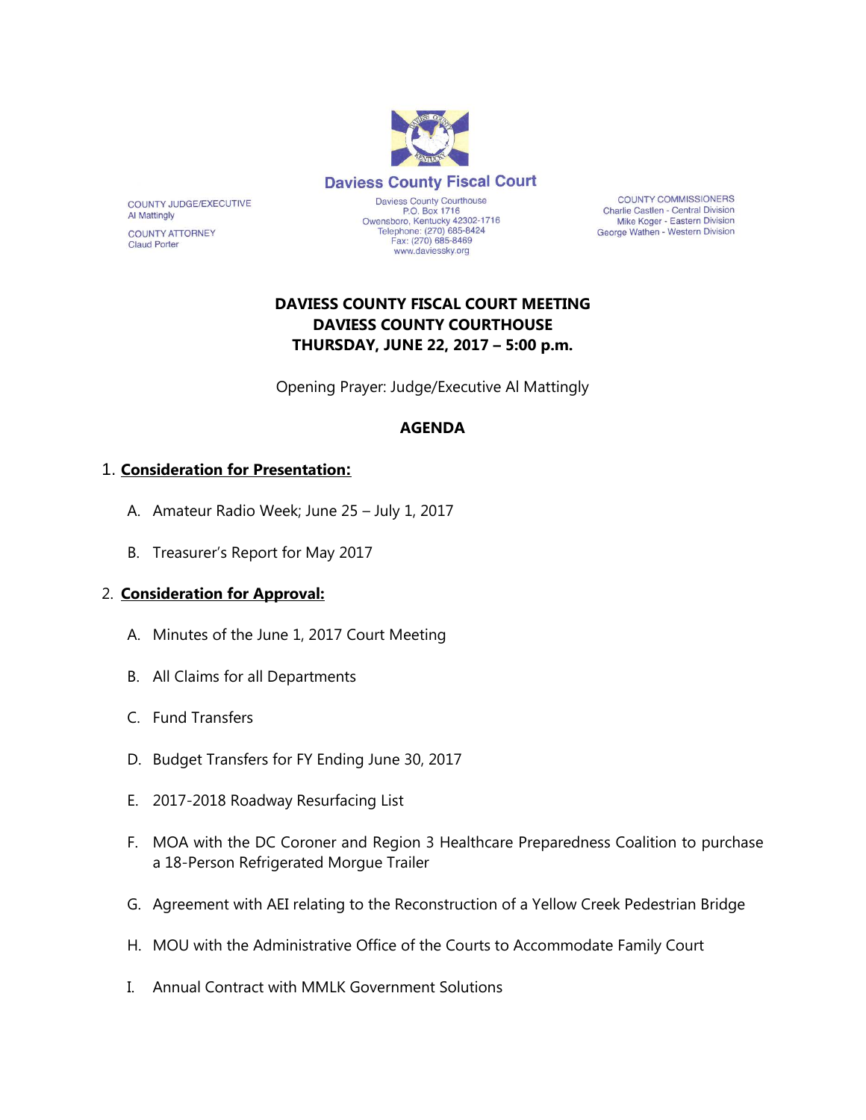

**COUNTY COMMISSIONERS** Charlie Castlen - Central Division Mike Koger - Eastern Division George Wathen - Western Division

## **DAVIESS COUNTY FISCAL COURT MEETING DAVIESS COUNTY COURTHOUSE THURSDAY, JUNE 22, 2017 – 5:00 p.m.**

Opening Prayer: Judge/Executive Al Mattingly

#### **AGENDA**

#### 1. **Consideration for Presentation:**

COUNTY JUDGE/EXECUTIVE

**COUNTY ATTORNEY Claud Porter** 

**Al Mattingly** 

- A. Amateur Radio Week; June 25 July 1, 2017
- B. Treasurer's Report for May 2017

#### 2. **Consideration for Approval:**

- A. Minutes of the June 1, 2017 Court Meeting
- B. All Claims for all Departments
- C. Fund Transfers
- D. Budget Transfers for FY Ending June 30, 2017
- E. 2017-2018 Roadway Resurfacing List
- F. MOA with the DC Coroner and Region 3 Healthcare Preparedness Coalition to purchase a 18-Person Refrigerated Morgue Trailer
- G. Agreement with AEI relating to the Reconstruction of a Yellow Creek Pedestrian Bridge
- H. MOU with the Administrative Office of the Courts to Accommodate Family Court
- I. Annual Contract with MMLK Government Solutions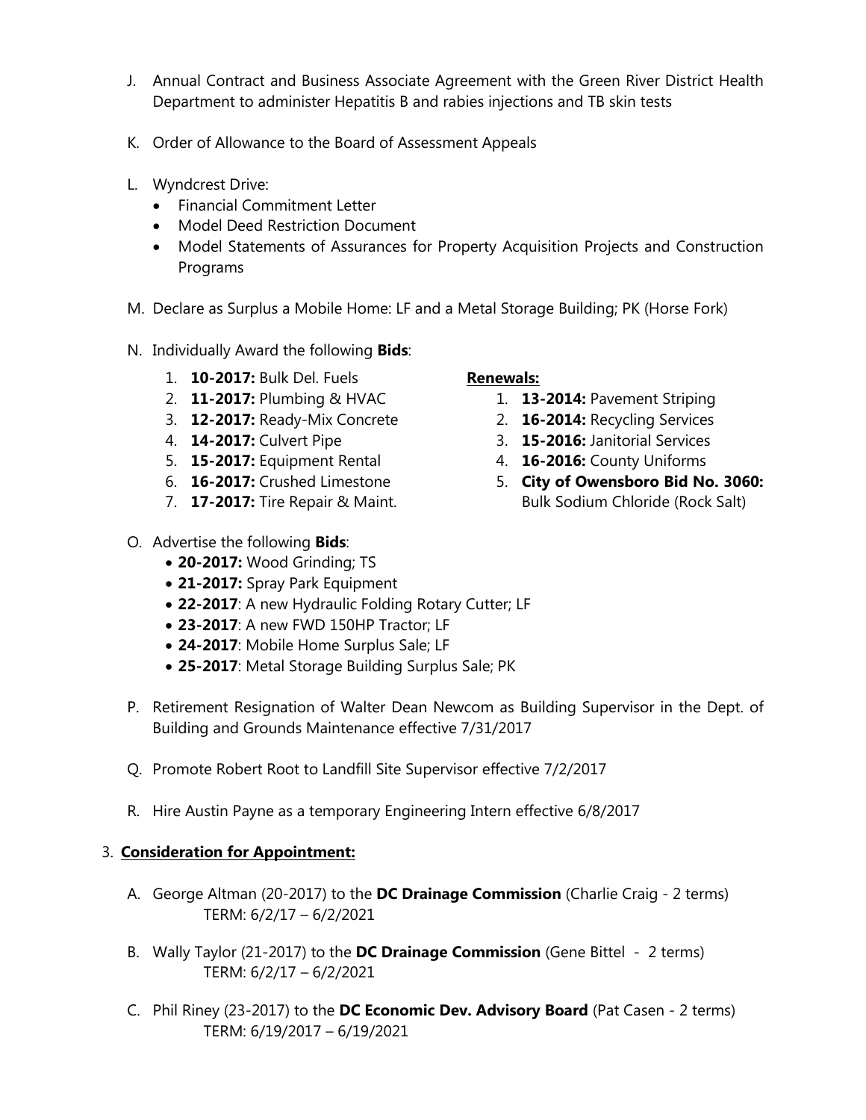- J. Annual Contract and Business Associate Agreement with the Green River District Health Department to administer Hepatitis B and rabies injections and TB skin tests
- K. Order of Allowance to the Board of Assessment Appeals
- L. Wyndcrest Drive:
	- Financial Commitment Letter
	- Model Deed Restriction Document
	- Model Statements of Assurances for Property Acquisition Projects and Construction Programs
- M. Declare as Surplus a Mobile Home: LF and a Metal Storage Building; PK (Horse Fork)
- N. Individually Award the following **Bids**:
	- 1. **10-2017:** Bulk Del. Fuels
	- 2. **11-2017:** Plumbing & HVAC
	- 3. **12-2017:** Ready-Mix Concrete
	- 4. **14-2017:** Culvert Pipe
	- 5. **15-2017:** Equipment Rental
	- 6. **16-2017:** Crushed Limestone
	- 7. **17-2017:** Tire Repair & Maint.
- O. Advertise the following **Bids**:
	- **20-2017:** Wood Grinding; TS
	- **21-2017:** Spray Park Equipment
	- **22-2017**: A new Hydraulic Folding Rotary Cutter; LF
	- **23-2017**: A new FWD 150HP Tractor; LF
	- **24-2017**: Mobile Home Surplus Sale; LF
	- **25-2017**: Metal Storage Building Surplus Sale; PK
- P. Retirement Resignation of Walter Dean Newcom as Building Supervisor in the Dept. of Building and Grounds Maintenance effective 7/31/2017
- Q. Promote Robert Root to Landfill Site Supervisor effective 7/2/2017
- R. Hire Austin Payne as a temporary Engineering Intern effective 6/8/2017

## 3. **Consideration for Appointment:**

- A. George Altman (20-2017) to the **DC Drainage Commission** (Charlie Craig 2 terms) TERM: 6/2/17 – 6/2/2021
- B. Wally Taylor (21-2017) to the **DC Drainage Commission** (Gene Bittel 2 terms) TERM: 6/2/17 – 6/2/2021
- C. Phil Riney (23-2017) to the **DC Economic Dev. Advisory Board** (Pat Casen 2 terms) TERM: 6/19/2017 – 6/19/2021

## **Renewals:**

- 1. **13-2014:** Pavement Striping
- 2. **16-2014:** Recycling Services
- 3. **15-2016:** Janitorial Services
- 4. **16-2016:** County Uniforms
- 5. **City of Owensboro Bid No. 3060:** Bulk Sodium Chloride (Rock Salt)